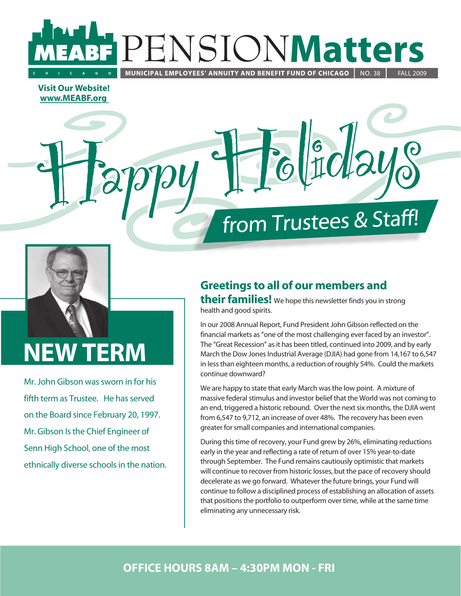## **Matters** ENSIONI MUNICIPAL EMPLOYEES' ANNUITY AND BENEFIT FUND OF CHICAGO | **NO.38**

**Visit Our Website!** www.MEABF.org

# from Trustees & Staff!



# **NEW TERM**

Mr. John Gibson was sworn in for his fifth term as Trustee. He has served on the Board since February 20, 1997. Mr. Gibson Is the Chief Engineer of Senn High School, one of the most ethnically diverse schools in the nation.

# **Greetings to all of our members and**

their families! We hope this newsletter finds you in strong health and good spirits.

In our 2008 Annual Report, Fund President John Gibson reflected on the financial markets as "one of the most challenging ever faced by an investor". The "Great Recession" as it has been titled, continued into 2009, and by early March the Dow Jones Industrial Average (DJIA) had gone from 14,167 to 6,547 in less than eighteen months, a reduction of roughly 54%. Could the markets continue downward?

We are happy to state that early March was the low point. A mixture of massive federal stimulus and investor belief that the World was not coming to an end, triggered a historic rebound. Over the next six months, the DJIA went from 6,547 to 9,712, an increase of over 48%. The recovery has been even greater for small companies and international companies.

During this time of recovery, your Fund grew by 26%, eliminating reductions early in the year and reflecting a rate of return of over 15% year-to-date through September. The Fund remains cautiously optimistic that markets will continue to recover from historic losses, but the pace of recovery should decelerate as we go forward. Whatever the future brings, your Fund will continue to follow a disciplined process of establishing an allocation of assets that positions the portfolio to outperform over time, while at the same time eliminating any unnecessary risk.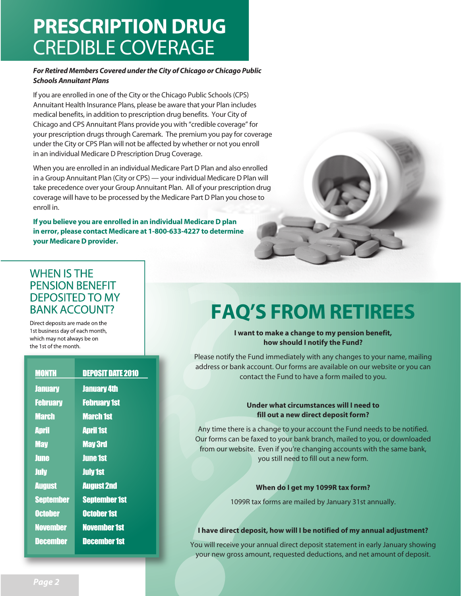# **PRESCRIPTION DRUG CREDIBLE COVERAGE**

#### For Retired Members Covered under the City of Chicago or Chicago Public **Schools Annuitant Plans**

If you are enrolled in one of the City or the Chicago Public Schools (CPS) Annuitant Health Insurance Plans, please be aware that your Plan includes medical benefits, in addition to prescription drug benefits. Your City of Chicago and CPS Annuitant Plans provide you with "credible coverage" for your prescription drugs through Caremark. The premium you pay for coverage under the City or CPS Plan will not be affected by whether or not you enroll in an individual Medicare D Prescription Drug Coverage.

When you are enrolled in an individual Medicare Part D Plan and also enrolled in a Group Annuitant Plan (City or CPS) - your individual Medicare D Plan will take precedence over your Group Annuitant Plan. All of your prescription drug coverage will have to be processed by the Medicare Part D Plan you chose to enroll in.

If you believe you are enrolled in an individual Medicare D plan in error, please contact Medicare at 1-800-633-4227 to determine your Medicare D provider.



### **WHEN IS THE PENSION BENEFIT DEPOSITED TO MY BANK ACCOUNT?**

Direct deposits are made on the 1st business day of each month, which may not always be on the 1st of the month.

| <b>MONTH</b>     | <b>DEPOSIT DATE 2010</b> |
|------------------|--------------------------|
| <b>January</b>   | <b>January 4th</b>       |
| <b>February</b>  | <b>February 1st</b>      |
| <b>March</b>     | <b>March 1st</b>         |
| <b>April</b>     | <b>April 1st</b>         |
| <b>May</b>       | <b>May 3rd</b>           |
| <b>June</b>      | <b>June 1st</b>          |
| <b>July</b>      | <b>July 1st</b>          |
| <b>August</b>    | <b>August 2nd</b>        |
| <b>September</b> | <b>September 1st</b>     |
| <b>October</b>   | <b>October 1st</b>       |
| <b>November</b>  | <b>November 1st</b>      |
| December         | <b>December 1st</b>      |
|                  |                          |

# **FAQ'S FROM RETIREES**

#### I want to make a change to my pension benefit, how should I notify the Fund?

Please notify the Fund immediately with any changes to your name, mailing address or bank account. Our forms are available on our website or you can contact the Fund to have a form mailed to you.

#### Under what circumstances will I need to fill out a new direct deposit form?

Any time there is a change to your account the Fund needs to be notified. Our forms can be faxed to your bank branch, mailed to you, or downloaded from our website. Even if you're changing accounts with the same bank, you still need to fill out a new form.

#### When do I get my 1099R tax form?

1099R tax forms are mailed by January 31st annually.

#### I have direct deposit, how will I be notified of my annual adjustment?

You will receive your annual direct deposit statement in early January showing your new gross amount, requested deductions, and net amount of deposit.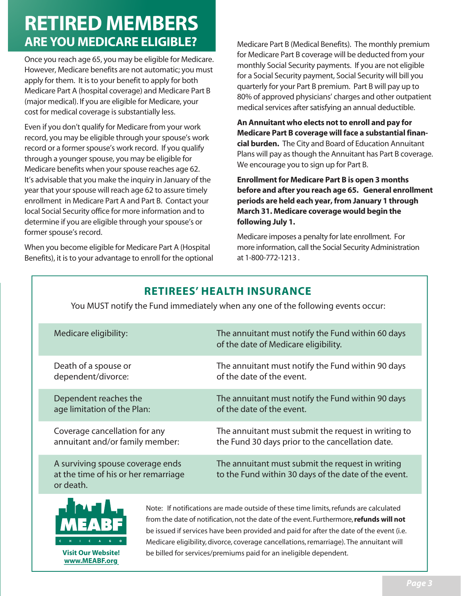# **RETIRED MEMBERS ARE YOU MEDICARE ELIGIBLE?**

Once you reach age 65, you may be eligible for Medicare. However, Medicare benefits are not automatic; you must apply for them. It is to your benefit to apply for both Medicare Part A (hospital coverage) and Medicare Part B (major medical). If you are eligible for Medicare, your cost for medical coverage is substantially less.

Even if you don't qualify for Medicare from your work record, you may be eligible through your spouse's work record or a former spouse's work record. If you qualify through a younger spouse, you may be eligible for Medicare benefits when your spouse reaches age 62. It's advisable that you make the inquiry in January of the year that your spouse will reach age 62 to assure timely enrollment in Medicare Part A and Part B. Contact your local Social Security office for more information and to determine if you are eligible through your spouse's or former spouse's record.

When you become eligible for Medicare Part A (Hospital Benefits), it is to your advantage to enroll for the optional Medicare Part B (Medical Benefits). The monthly premium for Medicare Part B coverage will be deducted from your monthly Social Security payments. If you are not eligible for a Social Security payment, Social Security will bill you quarterly for your Part B premium. Part B will pay up to 80% of approved physicians' charges and other outpatient medical services after satisfying an annual deductible.

**1** An Annuitant who elects not to enroll and pay for **Medicare Part B coverage will face a substantial financial burden.** The City and Board of Education Annuitant Plans will pay as though the Annuitant has Part B coverage. We encourage you to sign up for Part B.

**Enrollment for Medicare Part B is open 3 months before and after you reach age 65. General enrollment PERIODS AREAD HELD EACH VEAL FROM** *PAID* **<b>HELD** *MODD EACH* **CALC CALC CALC CALC CALC CALC CALC CALC CALC CALC CALC CALC CALC CALC CALC CALC CALC CALC CALC CALC CA March 31. Medicare coverage would begin the following July 1.** 

Medicare imposes a penalty for late enrollment. For more information, call the Social Security Administration at 1-800-772-1213.

## **RETIREES' HEALTH INSURANCE**

You MUST notify the Fund immediately when any one of the following events occur:

| Medicare eligibility:                                                                 | The annuitant must notify the Fund within 60 days<br>of the date of Medicare eligibility.                |
|---------------------------------------------------------------------------------------|----------------------------------------------------------------------------------------------------------|
| Death of a spouse or                                                                  | The annuitant must notify the Fund within 90 days                                                        |
| dependent/divorce:                                                                    | of the date of the event.                                                                                |
| Dependent reaches the                                                                 | The annuitant must notify the Fund within 90 days                                                        |
| age limitation of the Plan:                                                           | of the date of the event.                                                                                |
| Coverage cancellation for any                                                         | The annuitant must submit the request in writing to                                                      |
| annuitant and/or family member:                                                       | the Fund 30 days prior to the cancellation date.                                                         |
| A surviving spouse coverage ends<br>at the time of his or her remarriage<br>or death. | The annuitant must submit the request in writing<br>to the Fund within 30 days of the date of the event. |



www.MEABF.org

Note: If notifications are made outside of these time limits, refunds are calculated from the date of notification, not the date of the event. Furthermore, refunds will not be issued if services have been provided and paid for after the date of the event (i.e. Medicare eligibility, divorce, coverage cancellations, remarriage). The annuitant will Visit Our Website! be billed for services/premiums paid for an ineligible dependent.